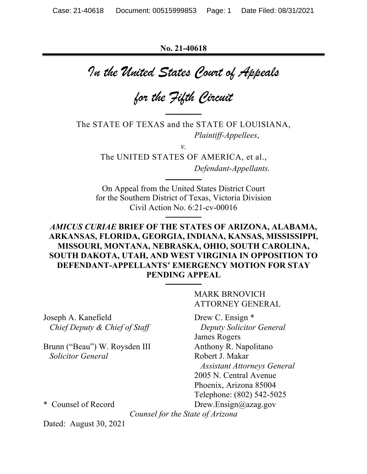**No. 21-40618**

*In the United States Court of Appeals*

*for the Fifth Circuit*

The STATE OF TEXAS and the STATE OF LOUISIANA, *Plaintiff-Appellees*,

*v.*

The UNITED STATES OF AMERICA, et al., *Defendant-Appellants.*

On Appeal from the United States District Court for the Southern District of Texas, Victoria Division Civil Action No. 6:21-cv-00016

# *AMICUS CURIAE* **BRIEF OF THE STATES OF ARIZONA, ALABAMA, ARKANSAS, FLORIDA, GEORGIA, INDIANA, KANSAS, MISSISSIPPI, MISSOURI, MONTANA, NEBRASKA, OHIO, SOUTH CAROLINA, SOUTH DAKOTA, UTAH, AND WEST VIRGINIA IN OPPOSITION TO DEFENDANT-APPELLANTS' EMERGENCY MOTION FOR STAY PENDING APPEAL**

Joseph A. Kanefield Drew C. Ensign \* *Chief Deputy & Chief of Staff* Deputy Solicitor General

Brunn ("Beau") W. Roysden III Anthony R. Napolitano *Solicitor General* Robert J. Makar

MARK BRNOVICH ATTORNEY GENERAL

James Rogers *Assistant Attorneys General* 2005 N. Central Avenue Phoenix, Arizona 85004 Telephone: (802) 542-5025 \* Counsel of Record Drew.Ensign@azag.gov

*Counsel for the State of Arizona*

Dated: August 30, 2021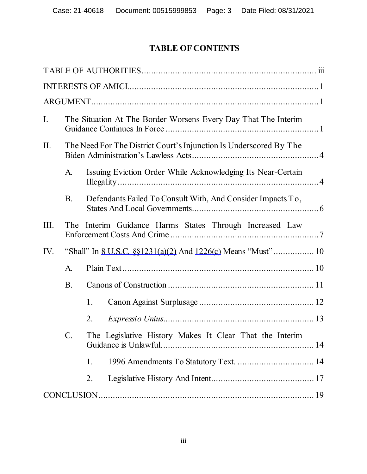# **TABLE OF CONTENTS**

| I.   | The Situation At The Border Worsens Every Day That The Interim |                                                                    |  |  |
|------|----------------------------------------------------------------|--------------------------------------------------------------------|--|--|
| II.  |                                                                | The Need For The District Court's Injunction Is Underscored By The |  |  |
|      | A.                                                             | Issuing Eviction Order While Acknowledging Its Near-Certain        |  |  |
|      | <b>B.</b>                                                      | Defendants Failed To Consult With, And Consider Impacts To,        |  |  |
| III. | Interim Guidance Harms States Through Increased Law<br>The     |                                                                    |  |  |
| IV.  |                                                                |                                                                    |  |  |
|      | A.                                                             |                                                                    |  |  |
|      | <b>B.</b>                                                      |                                                                    |  |  |
|      |                                                                | 1.                                                                 |  |  |
|      |                                                                | 2.                                                                 |  |  |
|      | $C_{\cdot}$                                                    | The Legislative History Makes It Clear That the Interim            |  |  |
|      |                                                                | 1996 Amendments To Statutory Text.  14<br>1.                       |  |  |
|      |                                                                | 2.                                                                 |  |  |
|      |                                                                |                                                                    |  |  |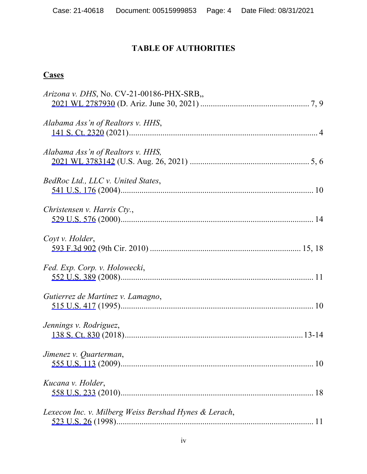# **TABLE OF AUTHORITIES**

# **Cases**

| Arizona v. DHS, No. CV-21-00186-PHX-SRB,              |  |
|-------------------------------------------------------|--|
|                                                       |  |
| Alabama Ass'n of Realtors v. HHS,                     |  |
|                                                       |  |
|                                                       |  |
| Alabama Ass'n of Realtors v. HHS,                     |  |
|                                                       |  |
| BedRoc Ltd., LLC v. United States,                    |  |
|                                                       |  |
| Christensen v. Harris Cty.,                           |  |
|                                                       |  |
|                                                       |  |
| Coyt v. Holder,                                       |  |
|                                                       |  |
| Fed. Exp. Corp. v. Holowecki,                         |  |
|                                                       |  |
| Gutierrez de Martinez v. Lamagno,                     |  |
|                                                       |  |
|                                                       |  |
| Jennings v. Rodriguez,                                |  |
|                                                       |  |
| Jimenez v. Quarterman,                                |  |
|                                                       |  |
| Kucana v. Holder,                                     |  |
|                                                       |  |
|                                                       |  |
| Lexecon Inc. v. Milberg Weiss Bershad Hynes & Lerach, |  |
|                                                       |  |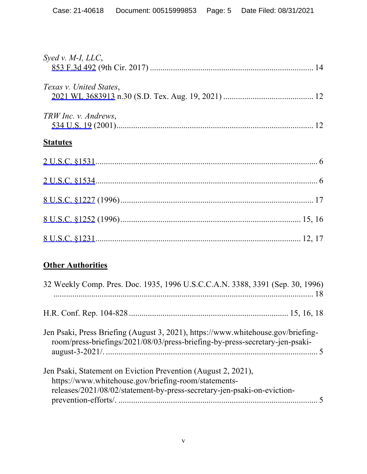| Syed v. $M$ -I, LLC,    |  |
|-------------------------|--|
|                         |  |
|                         |  |
| Texas v. United States, |  |
|                         |  |
| TRW Inc. v. Andrews,    |  |
|                         |  |
| <b>Statutes</b>         |  |
|                         |  |
|                         |  |
|                         |  |
|                         |  |
|                         |  |
|                         |  |
|                         |  |

# **Other Authorities**

| 32 Weekly Comp. Pres. Doc. 1935, 1996 U.S.C.C.A.N. 3388, 3391 (Sep. 30, 1996)                                                                                                                    |  |
|--------------------------------------------------------------------------------------------------------------------------------------------------------------------------------------------------|--|
|                                                                                                                                                                                                  |  |
| Jen Psaki, Press Briefing (August 3, 2021), https://www.whitehouse.gov/briefing-<br>room/press-briefings/2021/08/03/press-briefing-by-press-secretary-jen-psaki-                                 |  |
| Jen Psaki, Statement on Eviction Prevention (August 2, 2021),<br>https://www.whitehouse.gov/briefing-room/statements-<br>releases/2021/08/02/statement-by-press-secretary-jen-psaki-on-eviction- |  |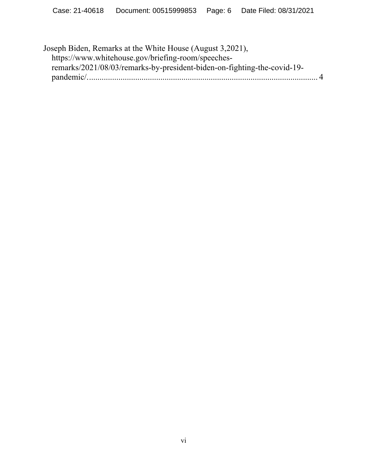Joseph Biden, Remarks at the White House (August 3,2021), https://www.whitehouse.gov/briefing-room/speechesremarks/2021/08/03/remarks-by-president-biden-on-fighting-the-covid-19 pandemic/.............................................................................................................. 4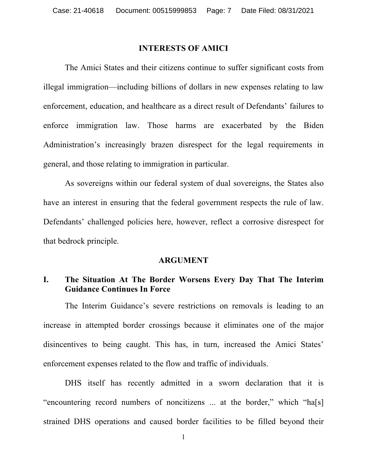### **INTERESTS OF AMICI**

The Amici States and their citizens continue to suffer significant costs from illegal immigration—including billions of dollars in new expenses relating to law enforcement, education, and healthcare as a direct result of Defendants' failures to enforce immigration law. Those harms are exacerbated by the Biden Administration's increasingly brazen disrespect for the legal requirements in general, and those relating to immigration in particular.

As sovereigns within our federal system of dual sovereigns, the States also have an interest in ensuring that the federal government respects the rule of law. Defendants' challenged policies here, however, reflect a corrosive disrespect for that bedrock principle.

#### **ARGUMENT**

# **I. The Situation At The Border Worsens Every Day That The Interim Guidance Continues In Force**

The Interim Guidance's severe restrictions on removals is leading to an increase in attempted border crossings because it eliminates one of the major disincentives to being caught. This has, in turn, increased the Amici States' enforcement expenses related to the flow and traffic of individuals.

DHS itself has recently admitted in a sworn declaration that it is "encountering record numbers of noncitizens ... at the border," which "ha[s] strained DHS operations and caused border facilities to be filled beyond their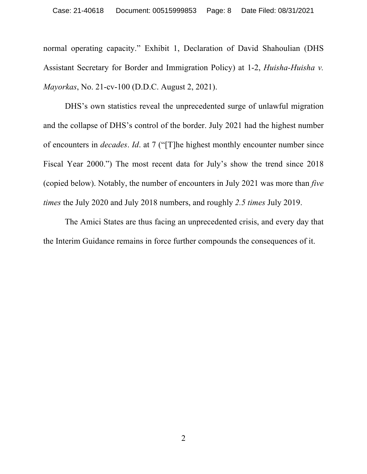normal operating capacity." Exhibit 1, Declaration of David Shahoulian (DHS Assistant Secretary for Border and Immigration Policy) at 1-2, *Huisha-Huisha v. Mayorkas*, No. 21-cv-100 (D.D.C. August 2, 2021).

DHS's own statistics reveal the unprecedented surge of unlawful migration and the collapse of DHS's control of the border. July 2021 had the highest number of encounters in *decades*. *Id*. at 7 ("[T]he highest monthly encounter number since Fiscal Year 2000.") The most recent data for July's show the trend since 2018 (copied below). Notably, the number of encounters in July 2021 was more than *five times* the July 2020 and July 2018 numbers, and roughly *2.5 times* July 2019.

The Amici States are thus facing an unprecedented crisis, and every day that the Interim Guidance remains in force further compounds the consequences of it.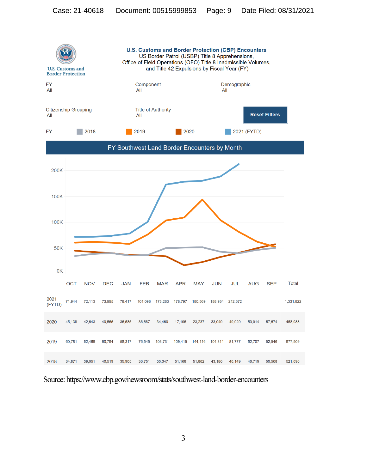

Source: https://www.cbp.gov/newsroom/stats/southwest-land-border-encounters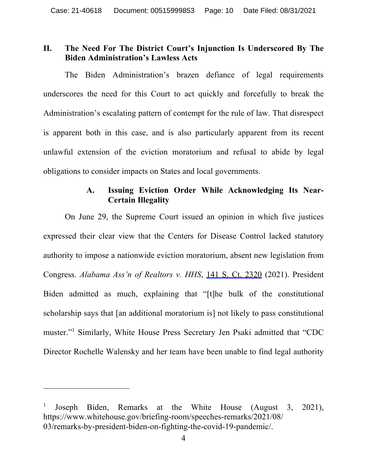## **II. The Need For The District Court's Injunction Is Underscored By The Biden Administration's Lawless Acts**

The Biden Administration's brazen defiance of legal requirements underscores the need for this Court to act quickly and forcefully to break the Administration's escalating pattern of contempt for the rule of law. That disrespect is apparent both in this case, and is also particularly apparent from its recent unlawful extension of the eviction moratorium and refusal to abide by legal obligations to consider impacts on States and local governments.

## **A. Issuing Eviction Order While Acknowledging Its Near-Certain Illegality**

On June 29, the Supreme Court issued an opinion in which five justices expressed their clear view that the Centers for Disease Control lacked statutory authority to impose a nationwide eviction moratorium, absent new legislation from Congress. *Alabama Ass'n of Realtors v. HHS*, 141 S. Ct. 2320 (2021). President Biden admitted as much, explaining that "[t]he bulk of the constitutional scholarship says that [an additional moratorium is] not likely to pass constitutional muster."1 Similarly, White House Press Secretary Jen Psaki admitted that "CDC Director Rochelle Walensky and her team have been unable to find legal authority

Joseph Biden, Remarks at the White House (August 3, 2021), https://www.whitehouse.gov/briefing-room/speeches-remarks/2021/08/ 03/remarks-by-president-biden-on-fighting-the-covid-19-pandemic/.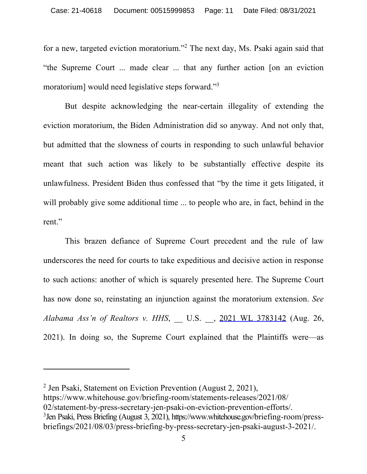for a new, targeted eviction moratorium."2 The next day, Ms. Psaki again said that "the Supreme Court ... made clear ... that any further action [on an eviction moratorium] would need legislative steps forward."3

But despite acknowledging the near-certain illegality of extending the eviction moratorium, the Biden Administration did so anyway. And not only that, but admitted that the slowness of courts in responding to such unlawful behavior meant that such action was likely to be substantially effective despite its unlawfulness. President Biden thus confessed that "by the time it gets litigated, it will probably give some additional time ... to people who are, in fact, behind in the rent."

This brazen defiance of Supreme Court precedent and the rule of law underscores the need for courts to take expeditious and decisive action in response to such actions: another of which is squarely presented here. The Supreme Court has now done so, reinstating an injunction against the moratorium extension. *See Alabama Ass'n of Realtors v. HHS*, \_\_ U.S. \_\_, 2021 WL 3783142 (Aug. 26, 2021). In doing so, the Supreme Court explained that the Plaintiffs were—as

 $<sup>2</sup>$  Jen Psaki, Statement on Eviction Prevention (August 2, 2021),</sup>

https://www.whitehouse.gov/briefing-room/statements-releases/2021/08/

<sup>02/</sup>statement-by-press-secretary-jen-psaki-on-eviction-prevention-efforts/.

<sup>3</sup> Jen Psaki, Press Briefing (August 3, 2021), https://www.whitehouse.gov/briefing-room/pressbriefings/2021/08/03/press-briefing-by-press-secretary-jen-psaki-august-3-2021/.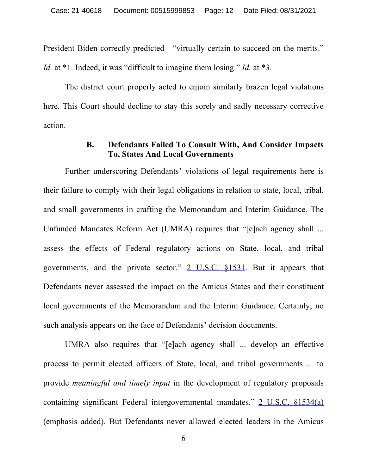President Biden correctly predicted—"virtually certain to succeed on the merits."

*Id.* at \*1. Indeed, it was "difficult to imagine them losing." *Id.* at \*3.

The district court properly acted to enjoin similarly brazen legal violations here. This Court should decline to stay this sorely and sadly necessary corrective action.

## **B. Defendants Failed To Consult With, And Consider Impacts To, States And Local Governments**

Further underscoring Defendants' violations of legal requirements here is their failure to comply with their legal obligations in relation to state, local, tribal, and small governments in crafting the Memorandum and Interim Guidance. The Unfunded Mandates Reform Act (UMRA) requires that "[e]ach agency shall ... assess the effects of Federal regulatory actions on State, local, and tribal governments, and the private sector." 2 U.S.C. §1531. But it appears that Defendants never assessed the impact on the Amicus States and their constituent local governments of the Memorandum and the Interim Guidance. Certainly, no such analysis appears on the face of Defendants' decision documents.

UMRA also requires that "[e]ach agency shall ... develop an effective process to permit elected officers of State, local, and tribal governments ... to provide *meaningful and timely input* in the development of regulatory proposals containing significant Federal intergovernmental mandates." 2 U.S.C. §1534(a) (emphasis added). But Defendants never allowed elected leaders in the Amicus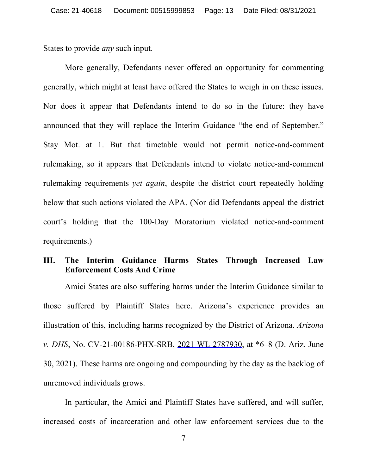States to provide *any* such input.

More generally, Defendants never offered an opportunity for commenting generally, which might at least have offered the States to weigh in on these issues. Nor does it appear that Defendants intend to do so in the future: they have announced that they will replace the Interim Guidance "the end of September." Stay Mot. at 1. But that timetable would not permit notice-and-comment rulemaking, so it appears that Defendants intend to violate notice-and-comment rulemaking requirements *yet again*, despite the district court repeatedly holding below that such actions violated the APA. (Nor did Defendants appeal the district court's holding that the 100-Day Moratorium violated notice-and-comment requirements.)

## **III. The Interim Guidance Harms States Through Increased Law Enforcement Costs And Crime**

Amici States are also suffering harms under the Interim Guidance similar to those suffered by Plaintiff States here. Arizona's experience provides an illustration of this, including harms recognized by the District of Arizona. *Arizona v. DHS*, No. CV-21-00186-PHX-SRB, 2021 WL 2787930, at \*6–8 (D. Ariz. June 30, 2021). These harms are ongoing and compounding by the day as the backlog of unremoved individuals grows.

In particular, the Amici and Plaintiff States have suffered, and will suffer, increased costs of incarceration and other law enforcement services due to the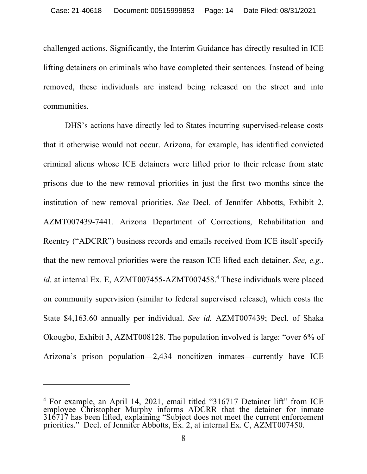challenged actions. Significantly, the Interim Guidance has directly resulted in ICE lifting detainers on criminals who have completed their sentences. Instead of being removed, these individuals are instead being released on the street and into communities.

DHS's actions have directly led to States incurring supervised-release costs that it otherwise would not occur. Arizona, for example, has identified convicted criminal aliens whose ICE detainers were lifted prior to their release from state prisons due to the new removal priorities in just the first two months since the institution of new removal priorities. *See* Decl. of Jennifer Abbotts, Exhibit 2, AZMT007439-7441. Arizona Department of Corrections, Rehabilitation and Reentry ("ADCRR") business records and emails received from ICE itself specify that the new removal priorities were the reason ICE lifted each detainer. *See, e.g.*, *id.* at internal Ex. E, AZMT007455-AZMT007458.<sup>4</sup> These individuals were placed on community supervision (similar to federal supervised release), which costs the State \$4,163.60 annually per individual. *See id.* AZMT007439; Decl. of Shaka Okougbo, Exhibit 3, AZMT008128. The population involved is large: "over 6% of Arizona's prison population—2,434 noncitizen inmates—currently have ICE

<sup>&</sup>lt;sup>4</sup> For example, an April 14, 2021, email titled "316717 Detainer lift" from ICE employee Christopher Murphy informs ADCRR that the detainer for inmate 316717 has been lifted, explaining "Subject does not meet the current enforcement priorities." Decl. of Jennifer Abbotts, Ex. 2, at internal Ex. C, AZMT007450.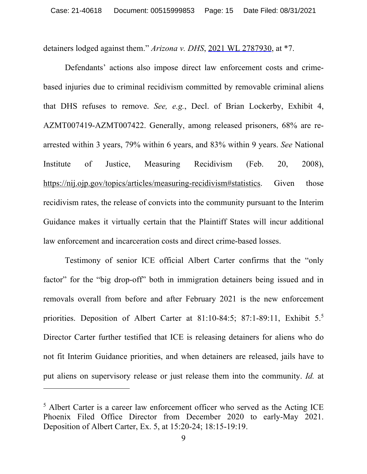detainers lodged against them." *Arizona v. DHS*, 2021 WL 2787930, at \*7.

Defendants' actions also impose direct law enforcement costs and crimebased injuries due to criminal recidivism committed by removable criminal aliens that DHS refuses to remove. *See, e.g.*, Decl. of Brian Lockerby, Exhibit 4, AZMT007419-AZMT007422. Generally, among released prisoners, 68% are rearrested within 3 years, 79% within 6 years, and 83% within 9 years. *See* National Institute of Justice, Measuring Recidivism (Feb. 20, 2008), https://nij.ojp.gov/topics/articles/measuring-recidivism#statistics. Given those recidivism rates, the release of convicts into the community pursuant to the Interim Guidance makes it virtually certain that the Plaintiff States will incur additional law enforcement and incarceration costs and direct crime-based losses.

Testimony of senior ICE official Albert Carter confirms that the "only factor" for the "big drop-off" both in immigration detainers being issued and in removals overall from before and after February 2021 is the new enforcement priorities. Deposition of Albert Carter at 81:10-84:5; 87:1-89:11, Exhibit 5.5 Director Carter further testified that ICE is releasing detainers for aliens who do not fit Interim Guidance priorities, and when detainers are released, jails have to put aliens on supervisory release or just release them into the community. *Id.* at

<sup>&</sup>lt;sup>5</sup> Albert Carter is a career law enforcement officer who served as the Acting ICE Phoenix Filed Office Director from December 2020 to early-May 2021. Deposition of Albert Carter, Ex. 5, at 15:20-24; 18:15-19:19.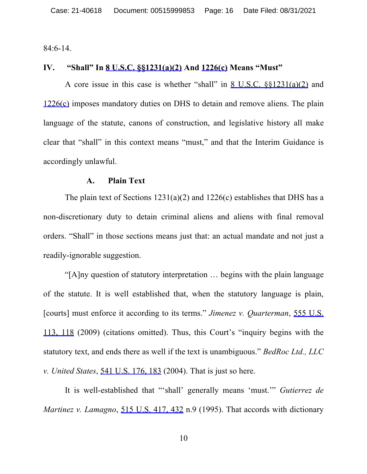84:6-14.

## **IV. "Shall" In 8 U.S.C. §§1231(a)(2) And 1226(c) Means "Must"**

A core issue in this case is whether "shall" in 8 U.S.C. §§1231(a)(2) and 1226(c) imposes mandatory duties on DHS to detain and remove aliens. The plain language of the statute, canons of construction, and legislative history all make clear that "shall" in this context means "must," and that the Interim Guidance is accordingly unlawful.

#### **A. Plain Text**

The plain text of Sections 1231(a)(2) and 1226(c) establishes that DHS has a non-discretionary duty to detain criminal aliens and aliens with final removal orders. "Shall" in those sections means just that: an actual mandate and not just a readily-ignorable suggestion.

"[A]ny question of statutory interpretation … begins with the plain language of the statute. It is well established that, when the statutory language is plain, [courts] must enforce it according to its terms." *Jimenez v. Quarterman*, 555 U.S. 113, 118 (2009) (citations omitted). Thus, this Court's "inquiry begins with the statutory text, and ends there as well if the text is unambiguous." *BedRoc Ltd., LLC v. United States*, 541 U.S. 176, 183 (2004). That is just so here.

It is well-established that "'shall' generally means 'must.'" *Gutierrez de Martinez v. Lamagno*, 515 U.S. 417, 432 n.9 (1995). That accords with dictionary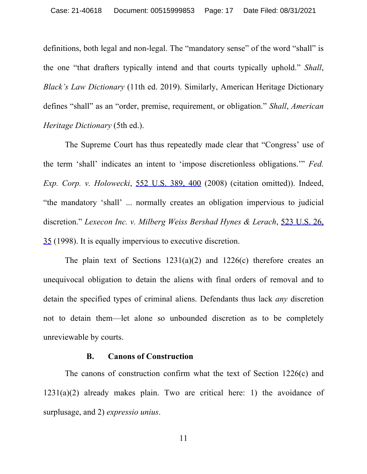definitions, both legal and non-legal. The "mandatory sense" of the word "shall" is the one "that drafters typically intend and that courts typically uphold." *Shall*, *Black's Law Dictionary* (11th ed. 2019). Similarly, American Heritage Dictionary defines "shall" as an "order, premise, requirement, or obligation." *Shall*, *American Heritage Dictionary* (5th ed.).

The Supreme Court has thus repeatedly made clear that "Congress' use of the term 'shall' indicates an intent to 'impose discretionless obligations.'" *Fed. Exp. Corp. v. Holowecki*, 552 U.S. 389, 400 (2008) (citation omitted)). Indeed, "the mandatory 'shall' ... normally creates an obligation impervious to judicial discretion." *Lexecon Inc. v. Milberg Weiss Bershad Hynes & Lerach*, 523 U.S. 26, 35 (1998). It is equally impervious to executive discretion.

The plain text of Sections  $1231(a)(2)$  and  $1226(c)$  therefore creates an unequivocal obligation to detain the aliens with final orders of removal and to detain the specified types of criminal aliens. Defendants thus lack *any* discretion not to detain them—let alone so unbounded discretion as to be completely unreviewable by courts.

### **B. Canons of Construction**

The canons of construction confirm what the text of Section 1226(c) and  $1231(a)(2)$  already makes plain. Two are critical here: 1) the avoidance of surplusage, and 2) *expressio unius*.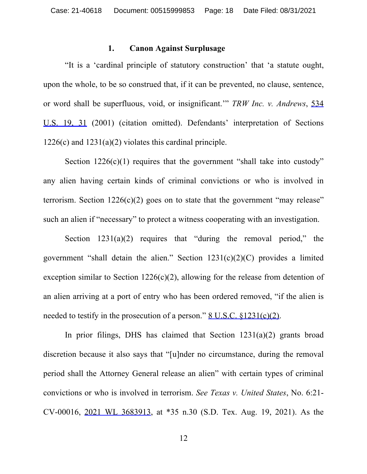#### **1. Canon Against Surplusage**

"It is a 'cardinal principle of statutory construction' that 'a statute ought, upon the whole, to be so construed that, if it can be prevented, no clause, sentence, or word shall be superfluous, void, or insignificant.'" *TRW Inc. v. Andrews*, 534 U.S. 19, 31 (2001) (citation omitted). Defendants' interpretation of Sections  $1226(c)$  and  $1231(a)(2)$  violates this cardinal principle.

Section  $1226(c)(1)$  requires that the government "shall take into custody" any alien having certain kinds of criminal convictions or who is involved in terrorism. Section  $1226(c)(2)$  goes on to state that the government "may release" such an alien if "necessary" to protect a witness cooperating with an investigation.

Section  $1231(a)(2)$  requires that "during the removal period," the government "shall detain the alien." Section  $1231(c)(2)(C)$  provides a limited exception similar to Section  $1226(c)(2)$ , allowing for the release from detention of an alien arriving at a port of entry who has been ordered removed, "if the alien is needed to testify in the prosecution of a person." <u>8 U.S.C. §1231(c)(2)</u>.

In prior filings, DHS has claimed that Section  $1231(a)(2)$  grants broad discretion because it also says that "[u]nder no circumstance, during the removal period shall the Attorney General release an alien" with certain types of criminal convictions or who is involved in terrorism. *See Texas v. United States*, No. 6:21- CV-00016, 2021 WL 3683913, at \*35 n.30 (S.D. Tex. Aug. 19, 2021). As the

12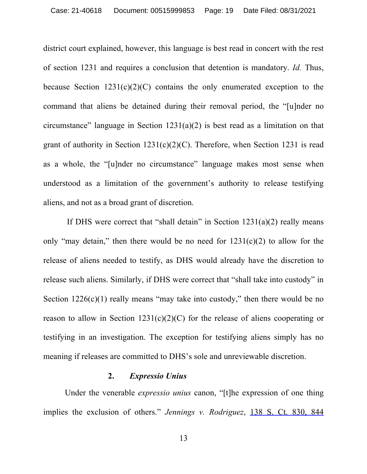district court explained, however, this language is best read in concert with the rest of section 1231 and requires a conclusion that detention is mandatory. *Id.* Thus, because Section  $1231(c)(2)(C)$  contains the only enumerated exception to the command that aliens be detained during their removal period, the "[u]nder no circumstance" language in Section  $1231(a)(2)$  is best read as a limitation on that grant of authority in Section  $1231(c)(2)(C)$ . Therefore, when Section 1231 is read as a whole, the "[u]nder no circumstance" language makes most sense when understood as a limitation of the government's authority to release testifying aliens, and not as a broad grant of discretion.

If DHS were correct that "shall detain" in Section  $1231(a)(2)$  really means only "may detain," then there would be no need for  $1231(c)(2)$  to allow for the release of aliens needed to testify, as DHS would already have the discretion to release such aliens. Similarly, if DHS were correct that "shall take into custody" in Section  $1226(c)(1)$  really means "may take into custody," then there would be no reason to allow in Section  $1231(c)(2)(C)$  for the release of aliens cooperating or testifying in an investigation. The exception for testifying aliens simply has no meaning if releases are committed to DHS's sole and unreviewable discretion.

### **2.** *Expressio Unius*

Under the venerable *expressio unius* canon, "[t]he expression of one thing implies the exclusion of others." *Jennings v. Rodriguez*, 138 S. Ct. 830, 844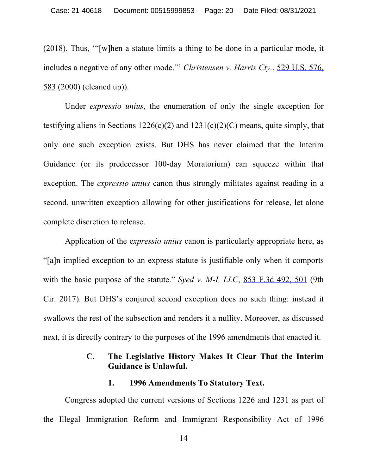(2018). Thus, '"[w]hen a statute limits a thing to be done in a particular mode, it includes a negative of any other mode."' *Christensen v. Harris Cty.*, 529 U.S. 576, 583 (2000) (cleaned up)).

Under *expressio unius*, the enumeration of only the single exception for testifying aliens in Sections  $1226(c)(2)$  and  $1231(c)(2)(C)$  means, quite simply, that only one such exception exists. But DHS has never claimed that the Interim Guidance (or its predecessor 100-day Moratorium) can squeeze within that exception. The *expressio unius* canon thus strongly militates against reading in a second, unwritten exception allowing for other justifications for release, let alone complete discretion to release.

Application of the e*xpressio unius* canon is particularly appropriate here, as "[a]n implied exception to an express statute is justifiable only when it comports with the basic purpose of the statute." *Syed v. M-I, LLC*, 853 F.3d 492, 501 (9th Cir. 2017). But DHS's conjured second exception does no such thing: instead it swallows the rest of the subsection and renders it a nullity. Moreover, as discussed next, it is directly contrary to the purposes of the 1996 amendments that enacted it.

## **C. The Legislative History Makes It Clear That the Interim Guidance is Unlawful.**

### **1. 1996 Amendments To Statutory Text.**

Congress adopted the current versions of Sections 1226 and 1231 as part of the Illegal Immigration Reform and Immigrant Responsibility Act of 1996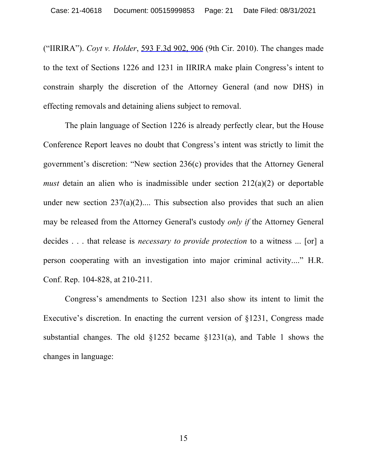("IIRIRA"). *Coyt v. Holder*, 593 F.3d 902, 906 (9th Cir. 2010). The changes made to the text of Sections 1226 and 1231 in IIRIRA make plain Congress's intent to constrain sharply the discretion of the Attorney General (and now DHS) in effecting removals and detaining aliens subject to removal.

The plain language of Section 1226 is already perfectly clear, but the House Conference Report leaves no doubt that Congress's intent was strictly to limit the government's discretion: "New section 236(c) provides that the Attorney General *must* detain an alien who is inadmissible under section 212(a)(2) or deportable under new section  $237(a)(2)$ .... This subsection also provides that such an alien may be released from the Attorney General's custody *only if* the Attorney General decides . . . that release is *necessary to provide protection* to a witness ... [or] a person cooperating with an investigation into major criminal activity...." H.R. Conf. Rep. 104-828, at 210-211.

Congress's amendments to Section 1231 also show its intent to limit the Executive's discretion. In enacting the current version of §1231, Congress made substantial changes. The old §1252 became §1231(a), and Table 1 shows the changes in language: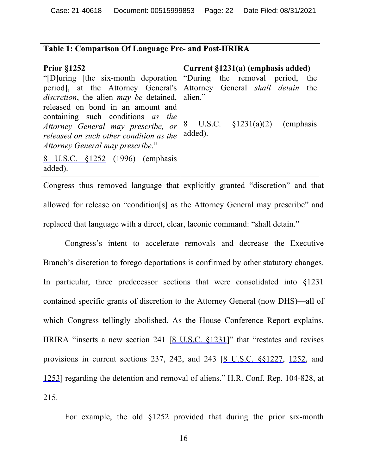|  |  |  | Table 1: Comparison Of Language Pre- and Post-IIRIRA |
|--|--|--|------------------------------------------------------|
|--|--|--|------------------------------------------------------|

| <b>Prior §1252</b>                                                         | Current §1231(a) (emphasis added)  |
|----------------------------------------------------------------------------|------------------------------------|
| "[D]uring [the six-month deporation   "During the removal period,          | the                                |
| period, at the Attorney General's Attorney General <i>shall detain</i> the |                                    |
| <i>discretion</i> , the alien <i>may be</i> detained, alien."              |                                    |
| released on bond in an amount and                                          |                                    |
| containing such conditions as the                                          |                                    |
| Attorney General may prescribe, or                                         | 8 U.S.C. $\S 1231(a)(2)$ (emphasis |
| released on such other condition as the                                    | added).                            |
| Attorney General may prescribe."                                           |                                    |
| 8 U.S.C. §1252 (1996) (emphasis                                            |                                    |
| added).                                                                    |                                    |

Congress thus removed language that explicitly granted "discretion" and that allowed for release on "condition[s] as the Attorney General may prescribe" and replaced that language with a direct, clear, laconic command: "shall detain."

Congress's intent to accelerate removals and decrease the Executive Branch's discretion to forego deportations is confirmed by other statutory changes. In particular, three predecessor sections that were consolidated into §1231 contained specific grants of discretion to the Attorney General (now DHS)—all of which Congress tellingly abolished. As the House Conference Report explains, IIRIRA "inserts a new section 241 [8 U.S.C. §1231]" that "restates and revises provisions in current sections 237, 242, and 243 [8 U.S.C. §§1227, 1252, and 1253] regarding the detention and removal of aliens." H.R. Conf. Rep. 104-828, at 215.

For example, the old §1252 provided that during the prior six-month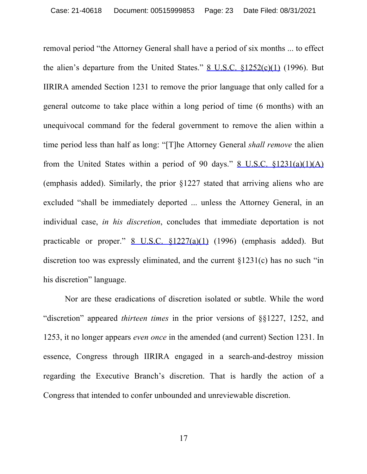removal period "the Attorney General shall have a period of six months ... to effect the alien's departure from the United States."  $8$  U.S.C.  $$1252(c)(1)$  (1996). But IIRIRA amended Section 1231 to remove the prior language that only called for a general outcome to take place within a long period of time (6 months) with an unequivocal command for the federal government to remove the alien within a time period less than half as long: "[T]he Attorney General *shall remove* the alien from the United States within a period of 90 days."  $8$  U.S.C.  $$1231(a)(1)(A)$ (emphasis added). Similarly, the prior §1227 stated that arriving aliens who are excluded "shall be immediately deported ... unless the Attorney General, in an individual case, *in his discretion*, concludes that immediate deportation is not practicable or proper." 8 U.S.C. §1227(a)(1) (1996) (emphasis added). But discretion too was expressly eliminated, and the current §1231(c) has no such "in his discretion" language.

Nor are these eradications of discretion isolated or subtle. While the word "discretion" appeared *thirteen times* in the prior versions of §§1227, 1252, and 1253, it no longer appears *even once* in the amended (and current) Section 1231. In essence, Congress through IIRIRA engaged in a search-and-destroy mission regarding the Executive Branch's discretion. That is hardly the action of a Congress that intended to confer unbounded and unreviewable discretion.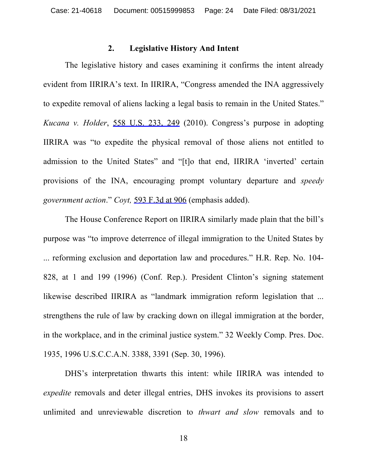### **2. Legislative History And Intent**

The legislative history and cases examining it confirms the intent already evident from IIRIRA's text. In IIRIRA, "Congress amended the INA aggressively to expedite removal of aliens lacking a legal basis to remain in the United States." *Kucana v. Holder*, 558 U.S. 233, 249 (2010). Congress's purpose in adopting IIRIRA was "to expedite the physical removal of those aliens not entitled to admission to the United States" and "[t]o that end, IIRIRA 'inverted' certain provisions of the INA, encouraging prompt voluntary departure and *speedy government action*." *Coyt,* 593 F.3d at 906 (emphasis added).

The House Conference Report on IIRIRA similarly made plain that the bill's purpose was "to improve deterrence of illegal immigration to the United States by ... reforming exclusion and deportation law and procedures." H.R. Rep. No. 104- 828, at 1 and 199 (1996) (Conf. Rep.). President Clinton's signing statement likewise described IIRIRA as "landmark immigration reform legislation that ... strengthens the rule of law by cracking down on illegal immigration at the border, in the workplace, and in the criminal justice system." 32 Weekly Comp. Pres. Doc. 1935, 1996 U.S.C.C.A.N. 3388, 3391 (Sep. 30, 1996).

DHS's interpretation thwarts this intent: while IIRIRA was intended to *expedite* removals and deter illegal entries, DHS invokes its provisions to assert unlimited and unreviewable discretion to *thwart and slow* removals and to

18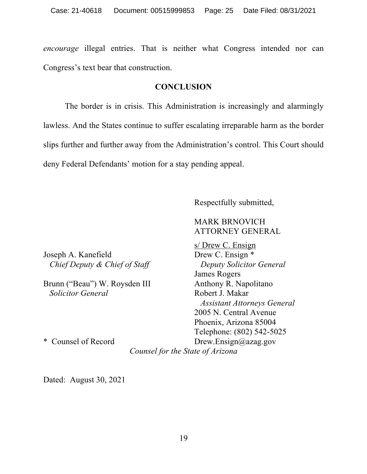*encourage* illegal entries. That is neither what Congress intended nor can Congress's text bear that construction.

## **CONCLUSION**

The border is in crisis. This Administration is increasingly and alarmingly lawless. And the States continue to suffer escalating irreparable harm as the border slips further and further away from the Administration's control. This Court should deny Federal Defendants' motion for a stay pending appeal.

Respectfully submitted,

## MARK BRNOVICH ATTORNEY GENERAL

Joseph A. Kanefield Drew C. Ensign \* *Chief Deputy & Chief of Staff* Deputy Solicitor General

Brunn ("Beau") W. Roysden III Anthony R. Napolitano **Solicitor General** Robert J. Makar

s/ Drew C. Ensign James Rogers *Assistant Attorneys General* 2005 N. Central Avenue Phoenix, Arizona 85004 Telephone: (802) 542-5025 \* Counsel of Record Drew.Ensign@azag.gov

*Counsel for the State of Arizona*

Dated: August 30, 2021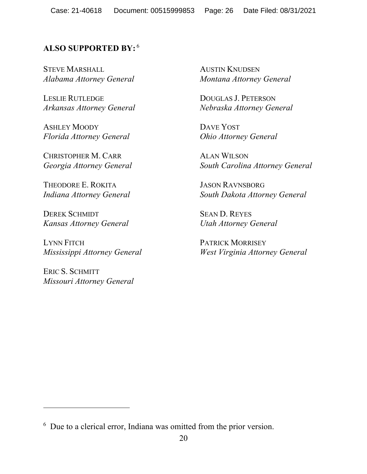# **ALSO SUPPORTED BY:** <sup>6</sup>

STEVE MARSHALL *Alabama Attorney General*

LESLIE RUTLEDGE *Arkansas Attorney General*

ASHLEY MOODY *Florida Attorney General*

CHRISTOPHER M. CARR *Georgia Attorney General*

THEODORE E. ROKITA *Indiana Attorney General*

DEREK SCHMIDT *Kansas Attorney General*

LYNN FITCH *Mississippi Attorney General*

ERIC S. SCHMITT *Missouri Attorney General*

AUSTIN KNUDSEN *Montana Attorney General*

DOUGLAS J. PETERSON *Nebraska Attorney General*

DAVE YOST *Ohio Attorney General*

ALAN WILSON *South Carolina Attorney General*

JASON RAVNSBORG *South Dakota Attorney General*

SEAN D. REYES *Utah Attorney General*

PATRICK MORRISEY *West Virginia Attorney General*

<sup>6</sup> Due to a clerical error, Indiana was omitted from the prior version.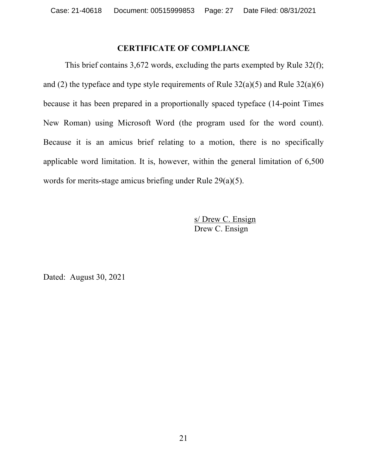# **CERTIFICATE OF COMPLIANCE**

This brief contains 3,672 words, excluding the parts exempted by Rule 32(f); and (2) the typeface and type style requirements of Rule  $32(a)(5)$  and Rule  $32(a)(6)$ because it has been prepared in a proportionally spaced typeface (14-point Times New Roman) using Microsoft Word (the program used for the word count). Because it is an amicus brief relating to a motion, there is no specifically applicable word limitation. It is, however, within the general limitation of 6,500 words for merits-stage amicus briefing under Rule 29(a)(5).

> s/ Drew C. Ensign Drew C. Ensign

Dated: August 30, 2021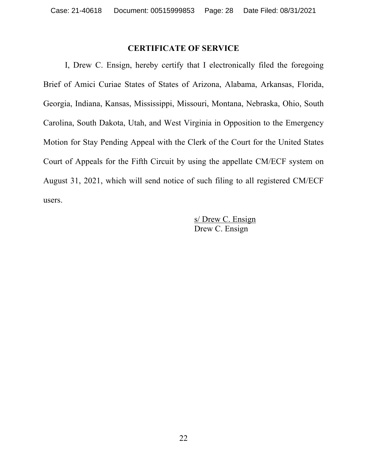## **CERTIFICATE OF SERVICE**

I, Drew C. Ensign, hereby certify that I electronically filed the foregoing Brief of Amici Curiae States of States of Arizona, Alabama, Arkansas, Florida, Georgia, Indiana, Kansas, Mississippi, Missouri, Montana, Nebraska, Ohio, South Carolina, South Dakota, Utah, and West Virginia in Opposition to the Emergency Motion for Stay Pending Appeal with the Clerk of the Court for the United States Court of Appeals for the Fifth Circuit by using the appellate CM/ECF system on August 31, 2021, which will send notice of such filing to all registered CM/ECF users.

> s/ Drew C. Ensign Drew C. Ensign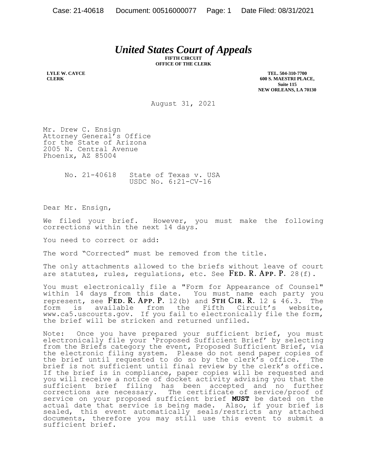# *United States Court of Appeals*

**FIFTH CIRCUIT OFFICE OF THE CLERK**

**LYLE W. CAYCE CLERK**

**TEL. 504-310-7700 600 S. MAESTRI PLACE, Suite 115 NEW ORLEANS, LA 70130**

August 31, 2021

Mr. Drew C. Ensign Attorney General's Office for the State of Arizona 2005 N. Central Avenue Phoenix, AZ 85004

> No. 21-40618 State of Texas v. USA USDC No. 6:21-CV-16

Dear Mr. Ensign,

We filed your brief. However, you must make the following corrections within the next 14 days.

You need to correct or add:

The word "Corrected" must be removed from the title.

The only attachments allowed to the briefs without leave of court are statutes, rules, requistions, etc. See  $FED. R. APP. P. 28(f).$ 

You must electronically file a "Form for Appearance of Counsel" within 14 days from this date. You must name each party you represent, see  $FED. R. APP. P. 12(b)$  and  $5TH CIR. R. 12 & 46.3$ . The form is available from the Fifth Circuit's website, www.ca5.uscourts.gov. If you fail to electronically file the form, the brief will be stricken and returned unfiled.

Note: Once you have prepared your sufficient brief, you must electronically file your 'Proposed Sufficient Brief' by selecting from the Briefs category the event, Proposed Sufficient Brief, via the electronic filing system. Please do not send paper copies of the brief until requested to do so by the clerk's office. The brief is not sufficient until final review by the clerk's office. If the brief is in compliance, paper copies will be requested and you will receive a notice of docket activity advising you that the sufficient brief filing has been accepted and no further corrections are necessary. The certificate of service/proof of service on your proposed sufficient brief **MUST** be dated on the actual date that service is being made. Also, if your brief is sealed, this event automatically seals/restricts any attached documents, therefore you may still use this event to submit a sufficient brief.